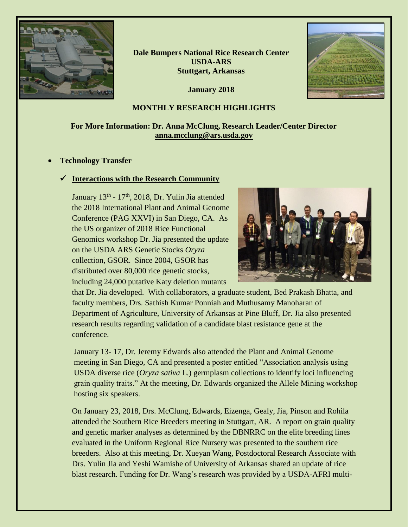

**Dale Bumpers National Rice Research Center USDA-ARS Stuttgart, Arkansas**

**January 2018**

## **MONTHLY RESEARCH HIGHLIGHTS**

# **For More Information: Dr. Anna McClung, Research Leader/Center Director [anna.mcclung@ars.usda.gov](mailto:anna.mcclung@ars.usda.gov)**

## • **Technology Transfer**

## ✓ **Interactions with the Research Community**

January 13<sup>th</sup> - 17<sup>th</sup>, 2018, Dr. Yulin Jia attended the 2018 International Plant and Animal Genome Conference (PAG XXVI) in San Diego, CA. As the US organizer of 2018 Rice Functional Genomics workshop Dr. Jia presented the update on the USDA ARS Genetic Stocks *Oryza* collection, GSOR. Since 2004, GSOR has distributed over 80,000 rice genetic stocks, including 24,000 putative Katy deletion mutants



that Dr. Jia developed. With collaborators, a graduate student, Bed Prakash Bhatta, and faculty members, Drs. Sathish Kumar Ponniah and Muthusamy Manoharan of Department of Agriculture, University of Arkansas at Pine Bluff, Dr. Jia also presented research results regarding validation of a candidate blast resistance gene at the conference.

January 13- 17, Dr. Jeremy Edwards also attended the Plant and Animal Genome meeting in San Diego, CA and presented a poster entitled "Association analysis using USDA diverse rice (*Oryza sativa* L.) germplasm collections to identify loci influencing grain quality traits." At the meeting, Dr. Edwards organized the Allele Mining workshop hosting six speakers.

On January 23, 2018, Drs. McClung, Edwards, Eizenga, Gealy, Jia, Pinson and Rohila attended the Southern Rice Breeders meeting in Stuttgart, AR. A report on grain quality and genetic marker analyses as determined by the DBNRRC on the elite breeding lines evaluated in the Uniform Regional Rice Nursery was presented to the southern rice breeders. Also at this meeting, Dr. Xueyan Wang, Postdoctoral Research Associate with Drs. Yulin Jia and Yeshi Wamishe of University of Arkansas shared an update of rice blast research. Funding for Dr. Wang's research was provided by a USDA-AFRI multi-